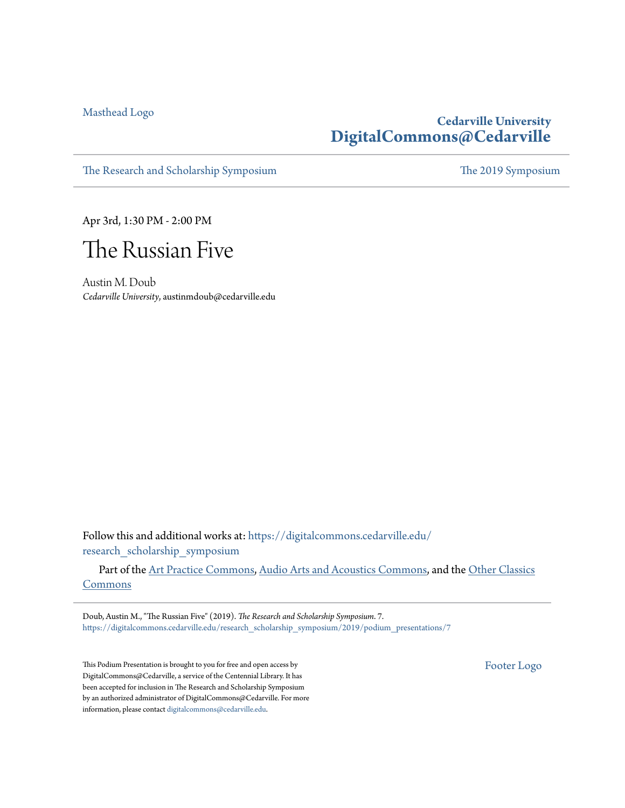[Masthead Logo](http://www.cedarville.edu/?utm_source=digitalcommons.cedarville.edu%2Fresearch_scholarship_symposium%2F2019%2Fpodium_presentations%2F7&utm_medium=PDF&utm_campaign=PDFCoverPages)

# **Cedarville University [DigitalCommons@Cedarville](https://digitalcommons.cedarville.edu?utm_source=digitalcommons.cedarville.edu%2Fresearch_scholarship_symposium%2F2019%2Fpodium_presentations%2F7&utm_medium=PDF&utm_campaign=PDFCoverPages)**

[The Research and Scholarship Symposium](https://digitalcommons.cedarville.edu/research_scholarship_symposium?utm_source=digitalcommons.cedarville.edu%2Fresearch_scholarship_symposium%2F2019%2Fpodium_presentations%2F7&utm_medium=PDF&utm_campaign=PDFCoverPages) [The 2019 Symposium](https://digitalcommons.cedarville.edu/research_scholarship_symposium/2019?utm_source=digitalcommons.cedarville.edu%2Fresearch_scholarship_symposium%2F2019%2Fpodium_presentations%2F7&utm_medium=PDF&utm_campaign=PDFCoverPages)

Apr 3rd, 1:30 PM - 2:00 PM



Austin M. Doub *Cedarville University*, austinmdoub@cedarville.edu

Follow this and additional works at: [https://digitalcommons.cedarville.edu/](https://digitalcommons.cedarville.edu/research_scholarship_symposium?utm_source=digitalcommons.cedarville.edu%2Fresearch_scholarship_symposium%2F2019%2Fpodium_presentations%2F7&utm_medium=PDF&utm_campaign=PDFCoverPages) [research\\_scholarship\\_symposium](https://digitalcommons.cedarville.edu/research_scholarship_symposium?utm_source=digitalcommons.cedarville.edu%2Fresearch_scholarship_symposium%2F2019%2Fpodium_presentations%2F7&utm_medium=PDF&utm_campaign=PDFCoverPages)

Part of the [Art Practice Commons](http://network.bepress.com/hgg/discipline/509?utm_source=digitalcommons.cedarville.edu%2Fresearch_scholarship_symposium%2F2019%2Fpodium_presentations%2F7&utm_medium=PDF&utm_campaign=PDFCoverPages), [Audio Arts and Acoustics Commons](http://network.bepress.com/hgg/discipline/1140?utm_source=digitalcommons.cedarville.edu%2Fresearch_scholarship_symposium%2F2019%2Fpodium_presentations%2F7&utm_medium=PDF&utm_campaign=PDFCoverPages), and the [Other Classics](http://network.bepress.com/hgg/discipline/453?utm_source=digitalcommons.cedarville.edu%2Fresearch_scholarship_symposium%2F2019%2Fpodium_presentations%2F7&utm_medium=PDF&utm_campaign=PDFCoverPages) [Commons](http://network.bepress.com/hgg/discipline/453?utm_source=digitalcommons.cedarville.edu%2Fresearch_scholarship_symposium%2F2019%2Fpodium_presentations%2F7&utm_medium=PDF&utm_campaign=PDFCoverPages)

Doub, Austin M., "The Russian Five" (2019). *The Research and Scholarship Symposium*. 7. [https://digitalcommons.cedarville.edu/research\\_scholarship\\_symposium/2019/podium\\_presentations/7](https://digitalcommons.cedarville.edu/research_scholarship_symposium/2019/podium_presentations/7?utm_source=digitalcommons.cedarville.edu%2Fresearch_scholarship_symposium%2F2019%2Fpodium_presentations%2F7&utm_medium=PDF&utm_campaign=PDFCoverPages)

This Podium Presentation is brought to you for free and open access by DigitalCommons@Cedarville, a service of the Centennial Library. It has been accepted for inclusion in The Research and Scholarship Symposium by an authorized administrator of DigitalCommons@Cedarville. For more information, please contact [digitalcommons@cedarville.edu.](mailto:digitalcommons@cedarville.edu)

[Footer Logo](http://www.cedarville.edu/Academics/Library.aspx?utm_source=digitalcommons.cedarville.edu%2Fresearch_scholarship_symposium%2F2019%2Fpodium_presentations%2F7&utm_medium=PDF&utm_campaign=PDFCoverPages)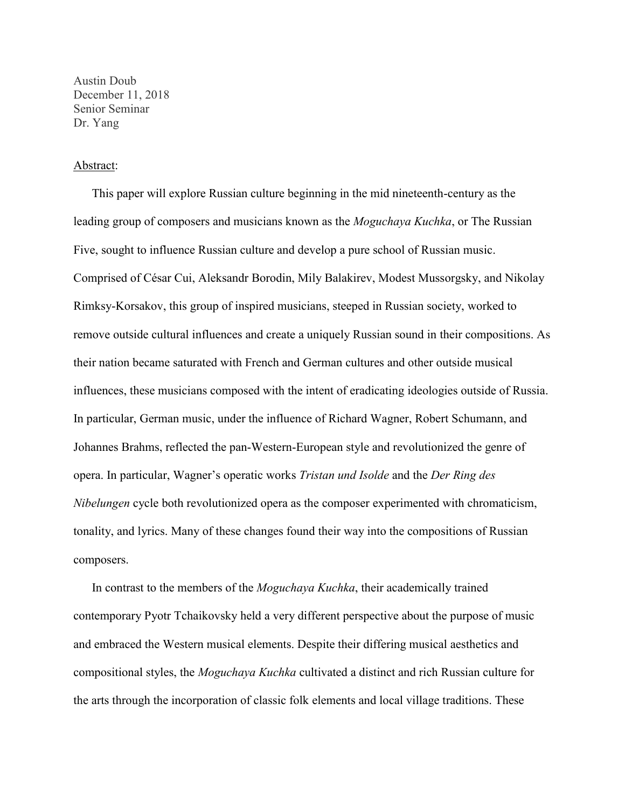Austin Doub December 11, 2018 Senior Seminar Dr. Yang

#### Abstract:

This paper will explore Russian culture beginning in the mid nineteenth-century as the leading group of composers and musicians known as the *Moguchaya Kuchka*, or The Russian Five, sought to influence Russian culture and develop a pure school of Russian music. Comprised of César Cui, Aleksandr Borodin, Mily Balakirev, Modest Mussorgsky, and Nikolay Rimksy-Korsakov, this group of inspired musicians, steeped in Russian society, worked to remove outside cultural influences and create a uniquely Russian sound in their compositions. As their nation became saturated with French and German cultures and other outside musical influences, these musicians composed with the intent of eradicating ideologies outside of Russia. In particular, German music, under the influence of Richard Wagner, Robert Schumann, and Johannes Brahms, reflected the pan-Western-European style and revolutionized the genre of opera. In particular, Wagner's operatic works *Tristan und Isolde* and the *Der Ring des Nibelungen* cycle both revolutionized opera as the composer experimented with chromaticism, tonality, and lyrics. Many of these changes found their way into the compositions of Russian composers.

In contrast to the members of the *Moguchaya Kuchka*, their academically trained contemporary Pyotr Tchaikovsky held a very different perspective about the purpose of music and embraced the Western musical elements. Despite their differing musical aesthetics and compositional styles, the *Moguchaya Kuchka* cultivated a distinct and rich Russian culture for the arts through the incorporation of classic folk elements and local village traditions. These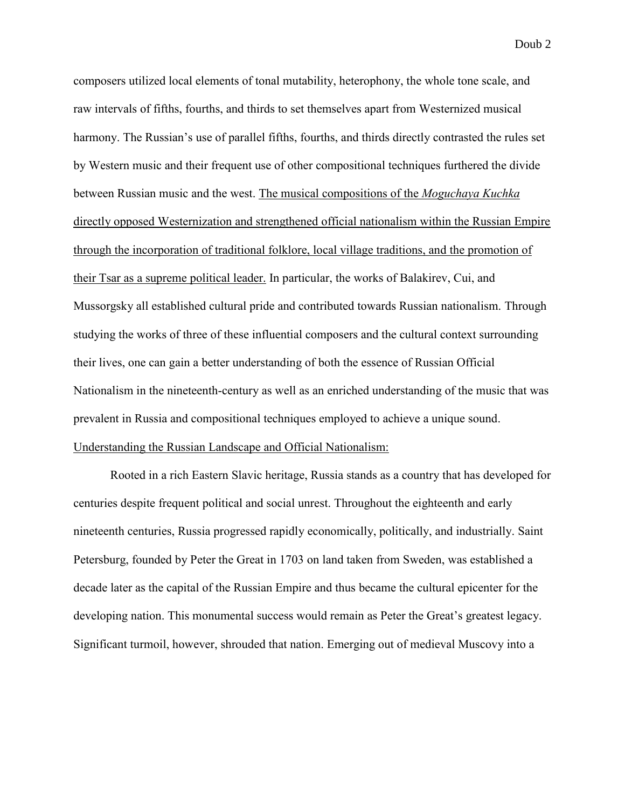composers utilized local elements of tonal mutability, heterophony, the whole tone scale, and raw intervals of fifths, fourths, and thirds to set themselves apart from Westernized musical harmony. The Russian's use of parallel fifths, fourths, and thirds directly contrasted the rules set by Western music and their frequent use of other compositional techniques furthered the divide between Russian music and the west. The musical compositions of the *Moguchaya Kuchka* directly opposed Westernization and strengthened official nationalism within the Russian Empire through the incorporation of traditional folklore, local village traditions, and the promotion of their Tsar as a supreme political leader. In particular, the works of Balakirev, Cui, and Mussorgsky all established cultural pride and contributed towards Russian nationalism. Through studying the works of three of these influential composers and the cultural context surrounding their lives, one can gain a better understanding of both the essence of Russian Official Nationalism in the nineteenth-century as well as an enriched understanding of the music that was prevalent in Russia and compositional techniques employed to achieve a unique sound. Understanding the Russian Landscape and Official Nationalism:

Rooted in a rich Eastern Slavic heritage, Russia stands as a country that has developed for centuries despite frequent political and social unrest. Throughout the eighteenth and early nineteenth centuries, Russia progressed rapidly economically, politically, and industrially. Saint Petersburg, founded by Peter the Great in 1703 on land taken from Sweden, was established a decade later as the capital of the Russian Empire and thus became the cultural epicenter for the developing nation. This monumental success would remain as Peter the Great's greatest legacy. Significant turmoil, however, shrouded that nation. Emerging out of medieval Muscovy into a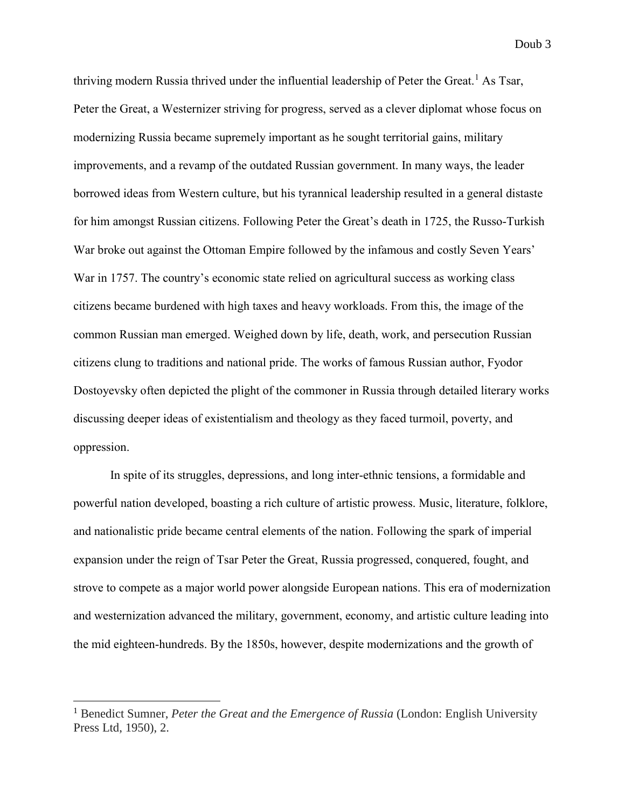thriving modern Russia thrived under the influential leadership of Peter the Great.<sup>1</sup> As Tsar, Peter the Great, a Westernizer striving for progress, served as a clever diplomat whose focus on modernizing Russia became supremely important as he sought territorial gains, military improvements, and a revamp of the outdated Russian government. In many ways, the leader borrowed ideas from Western culture, but his tyrannical leadership resulted in a general distaste for him amongst Russian citizens. Following Peter the Great's death in 1725, the Russo-Turkish War broke out against the Ottoman Empire followed by the infamous and costly Seven Years' War in 1757. The country's economic state relied on agricultural success as working class citizens became burdened with high taxes and heavy workloads. From this, the image of the common Russian man emerged. Weighed down by life, death, work, and persecution Russian citizens clung to traditions and national pride. The works of famous Russian author, Fyodor Dostoyevsky often depicted the plight of the commoner in Russia through detailed literary works discussing deeper ideas of existentialism and theology as they faced turmoil, poverty, and oppression.

In spite of its struggles, depressions, and long inter-ethnic tensions, a formidable and powerful nation developed, boasting a rich culture of artistic prowess. Music, literature, folklore, and nationalistic pride became central elements of the nation. Following the spark of imperial expansion under the reign of Tsar Peter the Great, Russia progressed, conquered, fought, and strove to compete as a major world power alongside European nations. This era of modernization and westernization advanced the military, government, economy, and artistic culture leading into the mid eighteen-hundreds. By the 1850s, however, despite modernizations and the growth of

<sup>&</sup>lt;sup>1</sup> Benedict Sumner, *Peter the Great and the Emergence of Russia* (London: English University Press Ltd, 1950), 2.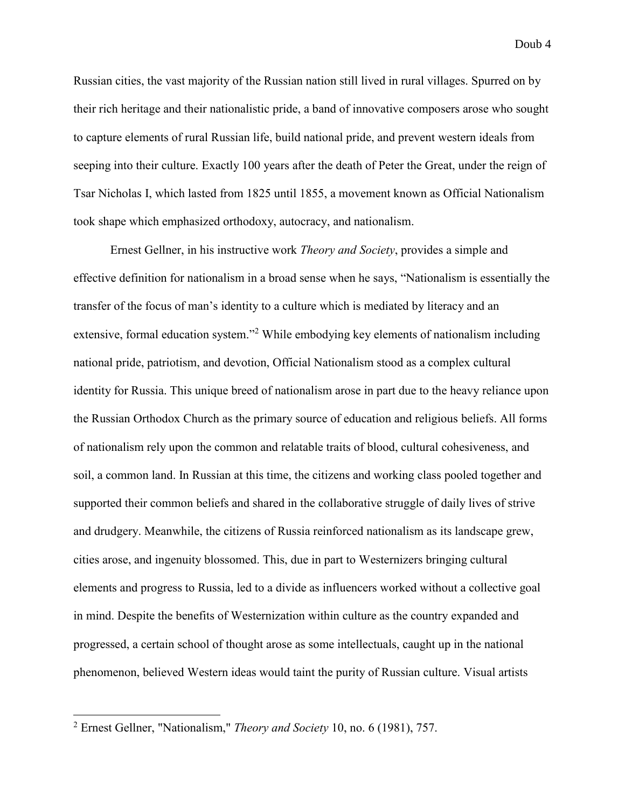Russian cities, the vast majority of the Russian nation still lived in rural villages. Spurred on by their rich heritage and their nationalistic pride, a band of innovative composers arose who sought to capture elements of rural Russian life, build national pride, and prevent western ideals from seeping into their culture. Exactly 100 years after the death of Peter the Great, under the reign of Tsar Nicholas I, which lasted from 1825 until 1855, a movement known as Official Nationalism took shape which emphasized orthodoxy, autocracy, and nationalism.

Ernest Gellner, in his instructive work *Theory and Society*, provides a simple and effective definition for nationalism in a broad sense when he says, "Nationalism is essentially the transfer of the focus of man's identity to a culture which is mediated by literacy and an extensive, formal education system."<sup>2</sup> While embodying key elements of nationalism including national pride, patriotism, and devotion, Official Nationalism stood as a complex cultural identity for Russia. This unique breed of nationalism arose in part due to the heavy reliance upon the Russian Orthodox Church as the primary source of education and religious beliefs. All forms of nationalism rely upon the common and relatable traits of blood, cultural cohesiveness, and soil, a common land. In Russian at this time, the citizens and working class pooled together and supported their common beliefs and shared in the collaborative struggle of daily lives of strive and drudgery. Meanwhile, the citizens of Russia reinforced nationalism as its landscape grew, cities arose, and ingenuity blossomed. This, due in part to Westernizers bringing cultural elements and progress to Russia, led to a divide as influencers worked without a collective goal in mind. Despite the benefits of Westernization within culture as the country expanded and progressed, a certain school of thought arose as some intellectuals, caught up in the national phenomenon, believed Western ideas would taint the purity of Russian culture. Visual artists

<sup>2</sup> Ernest Gellner, "Nationalism," *Theory and Society* 10, no. 6 (1981), 757.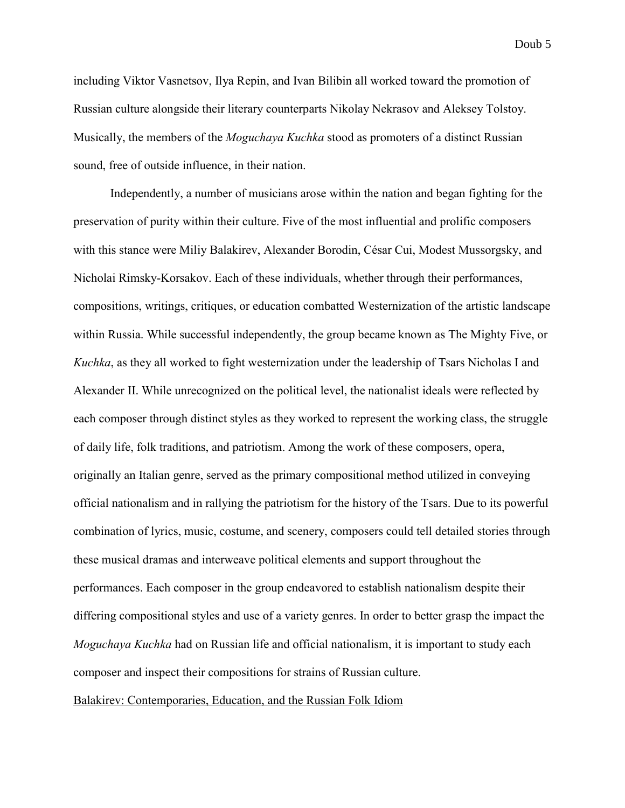including Viktor Vasnetsov, Ilya Repin, and Ivan Bilibin all worked toward the promotion of Russian culture alongside their literary counterparts Nikolay Nekrasov and Aleksey Tolstoy. Musically, the members of the *Moguchaya Kuchka* stood as promoters of a distinct Russian sound, free of outside influence, in their nation.

Independently, a number of musicians arose within the nation and began fighting for the preservation of purity within their culture. Five of the most influential and prolific composers with this stance were Miliy Balakirev, Alexander Borodin, César Cui, Modest Mussorgsky, and Nicholai Rimsky-Korsakov. Each of these individuals, whether through their performances, compositions, writings, critiques, or education combatted Westernization of the artistic landscape within Russia. While successful independently, the group became known as The Mighty Five, or *Kuchka*, as they all worked to fight westernization under the leadership of Tsars Nicholas I and Alexander II. While unrecognized on the political level, the nationalist ideals were reflected by each composer through distinct styles as they worked to represent the working class, the struggle of daily life, folk traditions, and patriotism. Among the work of these composers, opera, originally an Italian genre, served as the primary compositional method utilized in conveying official nationalism and in rallying the patriotism for the history of the Tsars. Due to its powerful combination of lyrics, music, costume, and scenery, composers could tell detailed stories through these musical dramas and interweave political elements and support throughout the performances. Each composer in the group endeavored to establish nationalism despite their differing compositional styles and use of a variety genres. In order to better grasp the impact the *Moguchaya Kuchka* had on Russian life and official nationalism, it is important to study each composer and inspect their compositions for strains of Russian culture.

Balakirev: Contemporaries, Education, and the Russian Folk Idiom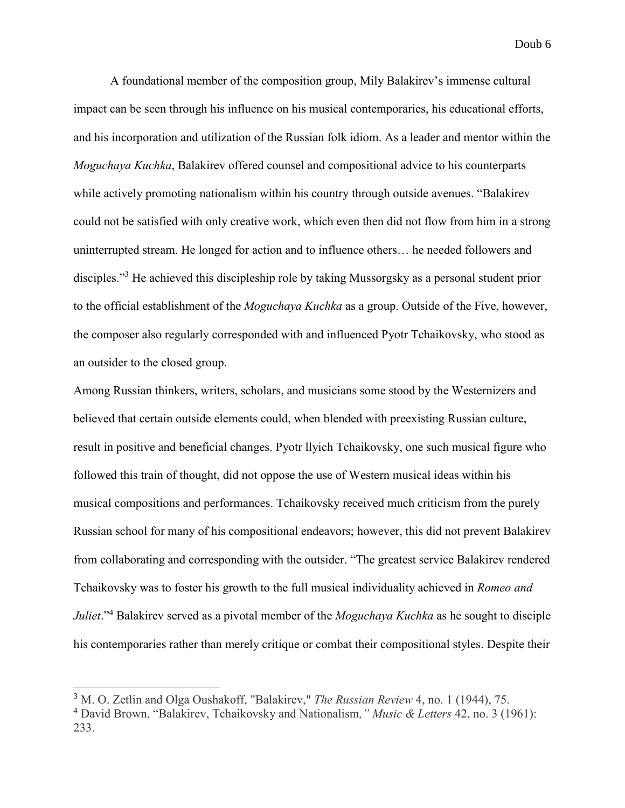A foundational member of the composition group, Mily Balakirev's immense cultural impact can be seen through his influence on his musical contemporaries, his educational efforts, and his incorporation and utilization of the Russian folk idiom. As a leader and mentor within the *Moguchaya Kuchka*, Balakirev offered counsel and compositional advice to his counterparts while actively promoting nationalism within his country through outside avenues. "Balakirev could not be satisfied with only creative work, which even then did not flow from him in a strong uninterrupted stream. He longed for action and to influence others… he needed followers and disciples."<sup>3</sup> He achieved this discipleship role by taking Mussorgsky as a personal student prior to the official establishment of the *Moguchaya Kuchka* as a group. Outside of the Five, however, the composer also regularly corresponded with and influenced Pyotr Tchaikovsky, who stood as an outsider to the closed group.

Among Russian thinkers, writers, scholars, and musicians some stood by the Westernizers and believed that certain outside elements could, when blended with preexisting Russian culture, result in positive and beneficial changes. Pyotr llyich Tchaikovsky, one such musical figure who followed this train of thought, did not oppose the use of Western musical ideas within his musical compositions and performances. Tchaikovsky received much criticism from the purely Russian school for many of his compositional endeavors; however, this did not prevent Balakirev from collaborating and corresponding with the outsider. "The greatest service Balakirev rendered Tchaikovsky was to foster his growth to the full musical individuality achieved in *Romeo and Juliet*."<sup>4</sup> Balakirev served as a pivotal member of the *Moguchaya Kuchka* as he sought to disciple his contemporaries rather than merely critique or combat their compositional styles. Despite their

<sup>3</sup> M. O. Zetlin and Olga Oushakoff, "Balakirev," *The Russian Review* 4, no. 1 (1944), 75.

<sup>4</sup> David Brown, "Balakirev, Tchaikovsky and Nationalism*," Music & Letters* 42, no. 3 (1961): 233.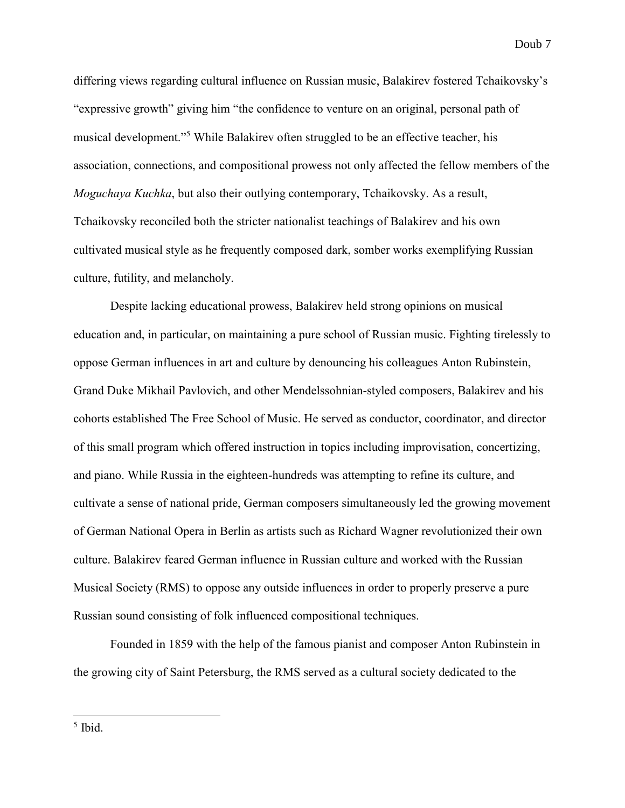differing views regarding cultural influence on Russian music, Balakirev fostered Tchaikovsky's "expressive growth" giving him "the confidence to venture on an original, personal path of musical development."<sup>5</sup> While Balakirev often struggled to be an effective teacher, his association, connections, and compositional prowess not only affected the fellow members of the *Moguchaya Kuchka*, but also their outlying contemporary, Tchaikovsky. As a result, Tchaikovsky reconciled both the stricter nationalist teachings of Balakirev and his own cultivated musical style as he frequently composed dark, somber works exemplifying Russian culture, futility, and melancholy.

Despite lacking educational prowess, Balakirev held strong opinions on musical education and, in particular, on maintaining a pure school of Russian music. Fighting tirelessly to oppose German influences in art and culture by denouncing his colleagues Anton Rubinstein, Grand Duke Mikhail Pavlovich, and other Mendelssohnian-styled composers, Balakirev and his cohorts established The Free School of Music. He served as conductor, coordinator, and director of this small program which offered instruction in topics including improvisation, concertizing, and piano. While Russia in the eighteen-hundreds was attempting to refine its culture, and cultivate a sense of national pride, German composers simultaneously led the growing movement of German National Opera in Berlin as artists such as Richard Wagner revolutionized their own culture. Balakirev feared German influence in Russian culture and worked with the Russian Musical Society (RMS) to oppose any outside influences in order to properly preserve a pure Russian sound consisting of folk influenced compositional techniques.

Founded in 1859 with the help of the famous pianist and composer Anton Rubinstein in the growing city of Saint Petersburg, the RMS served as a cultural society dedicated to the

5 Ibid.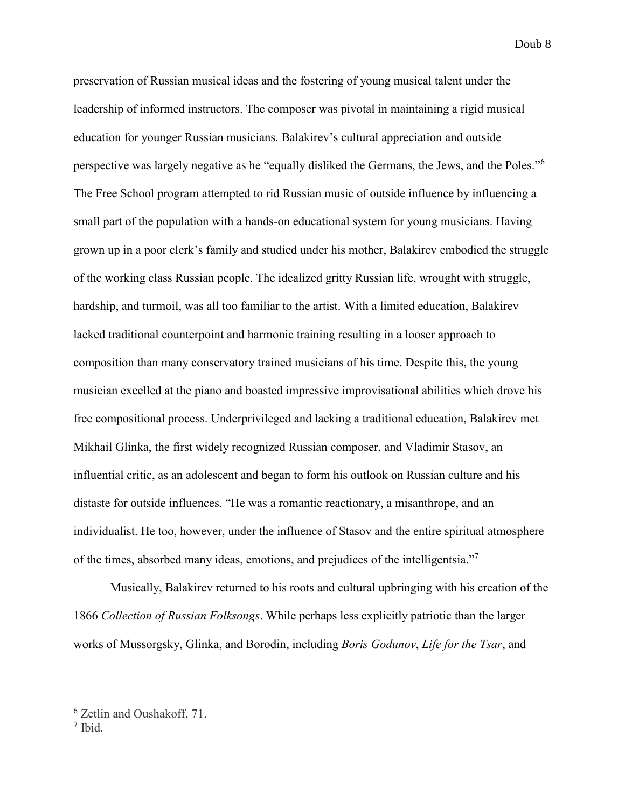preservation of Russian musical ideas and the fostering of young musical talent under the leadership of informed instructors. The composer was pivotal in maintaining a rigid musical education for younger Russian musicians. Balakirev's cultural appreciation and outside perspective was largely negative as he "equally disliked the Germans, the Jews, and the Poles."<sup>6</sup> The Free School program attempted to rid Russian music of outside influence by influencing a small part of the population with a hands-on educational system for young musicians. Having grown up in a poor clerk's family and studied under his mother, Balakirev embodied the struggle of the working class Russian people. The idealized gritty Russian life, wrought with struggle, hardship, and turmoil, was all too familiar to the artist. With a limited education, Balakirev lacked traditional counterpoint and harmonic training resulting in a looser approach to composition than many conservatory trained musicians of his time. Despite this, the young musician excelled at the piano and boasted impressive improvisational abilities which drove his free compositional process. Underprivileged and lacking a traditional education, Balakirev met Mikhail Glinka, the first widely recognized Russian composer, and Vladimir Stasov, an influential critic, as an adolescent and began to form his outlook on Russian culture and his distaste for outside influences. "He was a romantic reactionary, a misanthrope, and an individualist. He too, however, under the influence of Stasov and the entire spiritual atmosphere of the times, absorbed many ideas, emotions, and prejudices of the intelligentsia."<sup>7</sup>

Musically, Balakirev returned to his roots and cultural upbringing with his creation of the 1866 *Collection of Russian Folksongs*. While perhaps less explicitly patriotic than the larger works of Mussorgsky, Glinka, and Borodin, including *Boris Godunov*, *Life for the Tsar*, and

<sup>&</sup>lt;sup>6</sup> Zetlin and Oushakoff, 71.

<sup>7</sup> Ibid.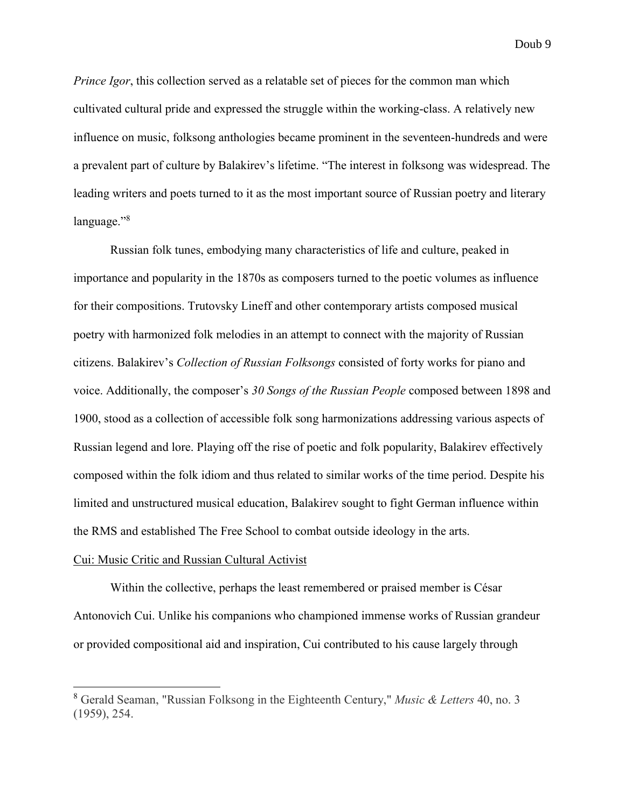*Prince Igor*, this collection served as a relatable set of pieces for the common man which cultivated cultural pride and expressed the struggle within the working-class. A relatively new influence on music, folksong anthologies became prominent in the seventeen-hundreds and were a prevalent part of culture by Balakirev's lifetime. "The interest in folksong was widespread. The leading writers and poets turned to it as the most important source of Russian poetry and literary language."<sup>8</sup>

Russian folk tunes, embodying many characteristics of life and culture, peaked in importance and popularity in the 1870s as composers turned to the poetic volumes as influence for their compositions. Trutovsky Lineff and other contemporary artists composed musical poetry with harmonized folk melodies in an attempt to connect with the majority of Russian citizens. Balakirev's *Collection of Russian Folksongs* consisted of forty works for piano and voice. Additionally, the composer's *30 Songs of the Russian People* composed between 1898 and 1900, stood as a collection of accessible folk song harmonizations addressing various aspects of Russian legend and lore. Playing off the rise of poetic and folk popularity, Balakirev effectively composed within the folk idiom and thus related to similar works of the time period. Despite his limited and unstructured musical education, Balakirev sought to fight German influence within the RMS and established The Free School to combat outside ideology in the arts.

### Cui: Music Critic and Russian Cultural Activist

 $\overline{a}$ 

Within the collective, perhaps the least remembered or praised member is César Antonovich Cui. Unlike his companions who championed immense works of Russian grandeur or provided compositional aid and inspiration, Cui contributed to his cause largely through

<sup>8</sup> Gerald Seaman, "Russian Folksong in the Eighteenth Century," *Music & Letters* 40, no. 3 (1959), 254.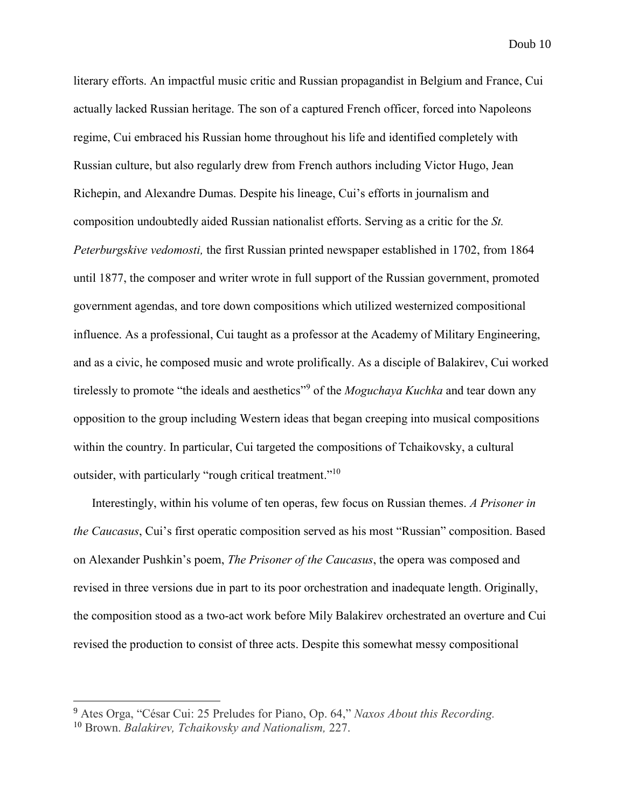literary efforts. An impactful music critic and Russian propagandist in Belgium and France, Cui actually lacked Russian heritage. The son of a captured French officer, forced into Napoleons regime, Cui embraced his Russian home throughout his life and identified completely with Russian culture, but also regularly drew from French authors including Victor Hugo, Jean Richepin, and Alexandre Dumas. Despite his lineage, Cui's efforts in journalism and composition undoubtedly aided Russian nationalist efforts. Serving as a critic for the *St. Peterburgskive vedomosti,* the first Russian printed newspaper established in 1702, from 1864 until 1877, the composer and writer wrote in full support of the Russian government, promoted government agendas, and tore down compositions which utilized westernized compositional influence. As a professional, Cui taught as a professor at the Academy of Military Engineering, and as a civic, he composed music and wrote prolifically. As a disciple of Balakirev, Cui worked tirelessly to promote "the ideals and aesthetics"<sup>9</sup> of the *Moguchaya Kuchka* and tear down any opposition to the group including Western ideas that began creeping into musical compositions within the country. In particular, Cui targeted the compositions of Tchaikovsky, a cultural outsider, with particularly "rough critical treatment."<sup>10</sup>

Interestingly, within his volume of ten operas, few focus on Russian themes. *A Prisoner in the Caucasus*, Cui's first operatic composition served as his most "Russian" composition. Based on Alexander Pushkin's poem, *The Prisoner of the Caucasus*, the opera was composed and revised in three versions due in part to its poor orchestration and inadequate length. Originally, the composition stood as a two-act work before Mily Balakirev orchestrated an overture and Cui revised the production to consist of three acts. Despite this somewhat messy compositional

<sup>9</sup> Ates Orga, "César Cui: 25 Preludes for Piano, Op. 64," *Naxos About this Recording.* 

<sup>10</sup> Brown. *Balakirev, Tchaikovsky and Nationalism,* 227.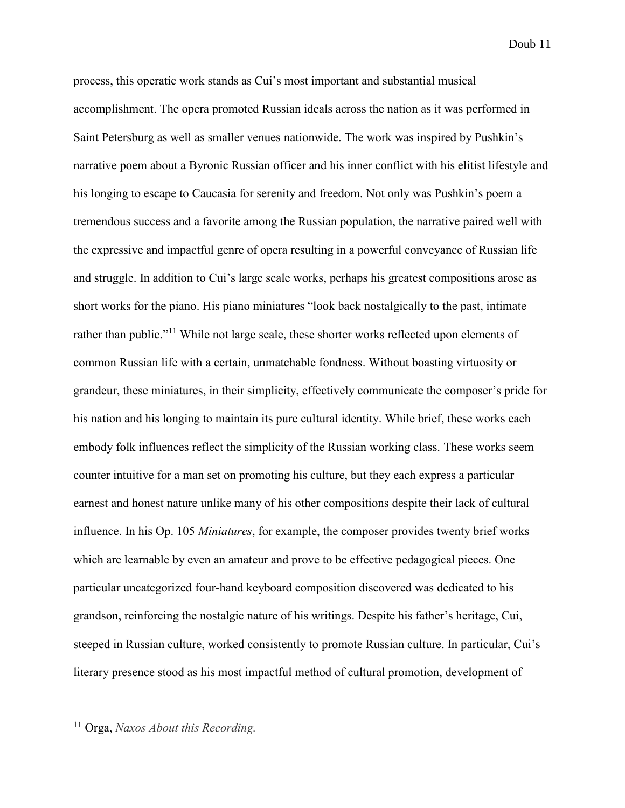process, this operatic work stands as Cui's most important and substantial musical accomplishment. The opera promoted Russian ideals across the nation as it was performed in Saint Petersburg as well as smaller venues nationwide. The work was inspired by Pushkin's narrative poem about a Byronic Russian officer and his inner conflict with his elitist lifestyle and his longing to escape to Caucasia for serenity and freedom. Not only was Pushkin's poem a tremendous success and a favorite among the Russian population, the narrative paired well with the expressive and impactful genre of opera resulting in a powerful conveyance of Russian life and struggle. In addition to Cui's large scale works, perhaps his greatest compositions arose as short works for the piano. His piano miniatures "look back nostalgically to the past, intimate rather than public."<sup>11</sup> While not large scale, these shorter works reflected upon elements of common Russian life with a certain, unmatchable fondness. Without boasting virtuosity or grandeur, these miniatures, in their simplicity, effectively communicate the composer's pride for his nation and his longing to maintain its pure cultural identity. While brief, these works each embody folk influences reflect the simplicity of the Russian working class. These works seem counter intuitive for a man set on promoting his culture, but they each express a particular earnest and honest nature unlike many of his other compositions despite their lack of cultural influence. In his Op. 105 *Miniatures*, for example, the composer provides twenty brief works which are learnable by even an amateur and prove to be effective pedagogical pieces. One particular uncategorized four-hand keyboard composition discovered was dedicated to his grandson, reinforcing the nostalgic nature of his writings. Despite his father's heritage, Cui, steeped in Russian culture, worked consistently to promote Russian culture. In particular, Cui's literary presence stood as his most impactful method of cultural promotion, development of

<sup>11</sup> Orga, *Naxos About this Recording.*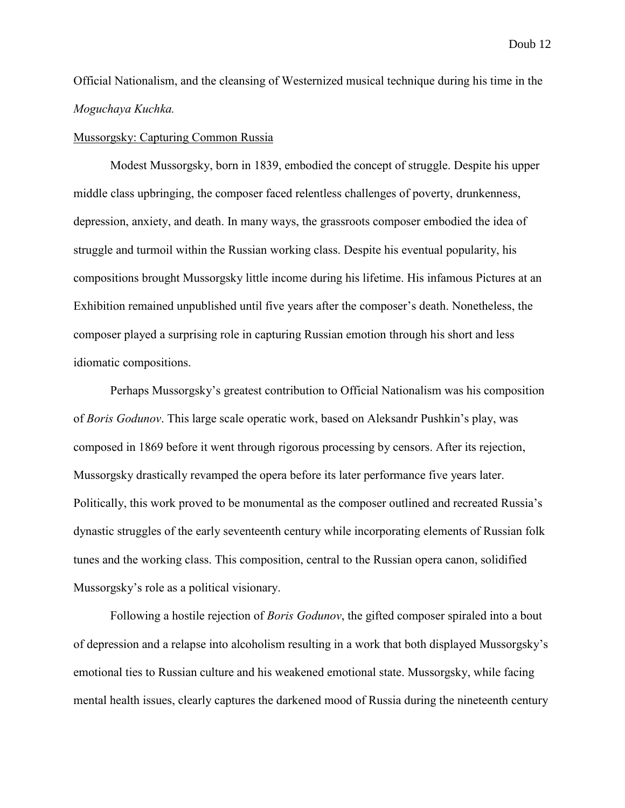Official Nationalism, and the cleansing of Westernized musical technique during his time in the *Moguchaya Kuchka.* 

### Mussorgsky: Capturing Common Russia

Modest Mussorgsky, born in 1839, embodied the concept of struggle. Despite his upper middle class upbringing, the composer faced relentless challenges of poverty, drunkenness, depression, anxiety, and death. In many ways, the grassroots composer embodied the idea of struggle and turmoil within the Russian working class. Despite his eventual popularity, his compositions brought Mussorgsky little income during his lifetime. His infamous Pictures at an Exhibition remained unpublished until five years after the composer's death. Nonetheless, the composer played a surprising role in capturing Russian emotion through his short and less idiomatic compositions.

Perhaps Mussorgsky's greatest contribution to Official Nationalism was his composition of *Boris Godunov*. This large scale operatic work, based on Aleksandr Pushkin's play, was composed in 1869 before it went through rigorous processing by censors. After its rejection, Mussorgsky drastically revamped the opera before its later performance five years later. Politically, this work proved to be monumental as the composer outlined and recreated Russia's dynastic struggles of the early seventeenth century while incorporating elements of Russian folk tunes and the working class. This composition, central to the Russian opera canon, solidified Mussorgsky's role as a political visionary.

Following a hostile rejection of *Boris Godunov*, the gifted composer spiraled into a bout of depression and a relapse into alcoholism resulting in a work that both displayed Mussorgsky's emotional ties to Russian culture and his weakened emotional state. Mussorgsky, while facing mental health issues, clearly captures the darkened mood of Russia during the nineteenth century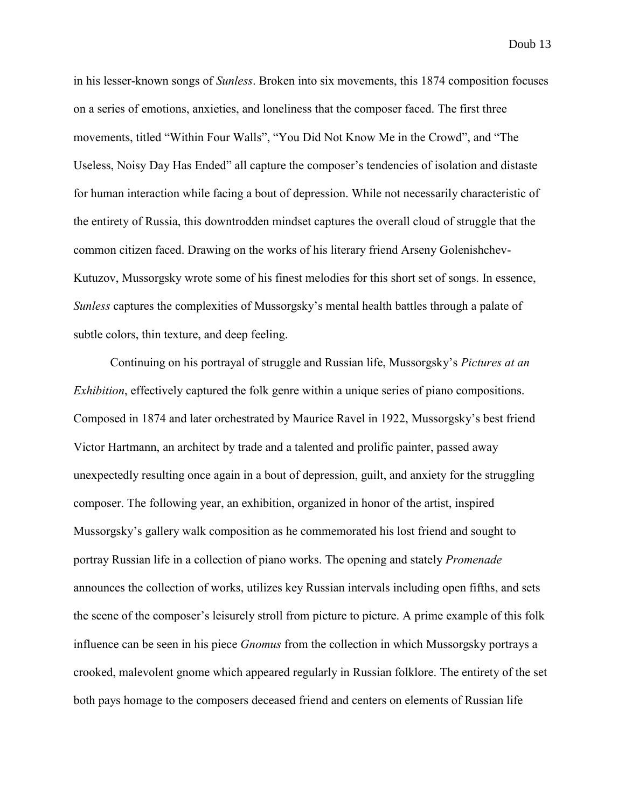in his lesser-known songs of *Sunless*. Broken into six movements, this 1874 composition focuses on a series of emotions, anxieties, and loneliness that the composer faced. The first three movements, titled "Within Four Walls", "You Did Not Know Me in the Crowd", and "The Useless, Noisy Day Has Ended" all capture the composer's tendencies of isolation and distaste for human interaction while facing a bout of depression. While not necessarily characteristic of the entirety of Russia, this downtrodden mindset captures the overall cloud of struggle that the common citizen faced. Drawing on the works of his literary friend Arseny Golenishchev-Kutuzov, Mussorgsky wrote some of his finest melodies for this short set of songs. In essence, *Sunless* captures the complexities of Mussorgsky's mental health battles through a palate of subtle colors, thin texture, and deep feeling.

Continuing on his portrayal of struggle and Russian life, Mussorgsky's *Pictures at an Exhibition*, effectively captured the folk genre within a unique series of piano compositions. Composed in 1874 and later orchestrated by Maurice Ravel in 1922, Mussorgsky's best friend Victor Hartmann, an architect by trade and a talented and prolific painter, passed away unexpectedly resulting once again in a bout of depression, guilt, and anxiety for the struggling composer. The following year, an exhibition, organized in honor of the artist, inspired Mussorgsky's gallery walk composition as he commemorated his lost friend and sought to portray Russian life in a collection of piano works. The opening and stately *Promenade* announces the collection of works, utilizes key Russian intervals including open fifths, and sets the scene of the composer's leisurely stroll from picture to picture. A prime example of this folk influence can be seen in his piece *Gnomus* from the collection in which Mussorgsky portrays a crooked, malevolent gnome which appeared regularly in Russian folklore. The entirety of the set both pays homage to the composers deceased friend and centers on elements of Russian life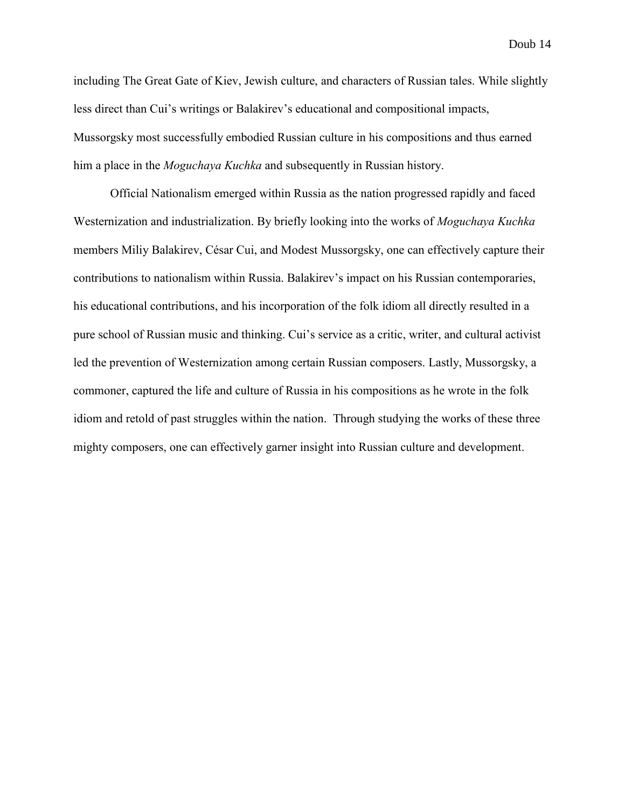including The Great Gate of Kiev, Jewish culture, and characters of Russian tales. While slightly less direct than Cui's writings or Balakirev's educational and compositional impacts, Mussorgsky most successfully embodied Russian culture in his compositions and thus earned him a place in the *Moguchaya Kuchka* and subsequently in Russian history.

Official Nationalism emerged within Russia as the nation progressed rapidly and faced Westernization and industrialization. By briefly looking into the works of *Moguchaya Kuchka*  members Miliy Balakirev, César Cui, and Modest Mussorgsky, one can effectively capture their contributions to nationalism within Russia. Balakirev's impact on his Russian contemporaries, his educational contributions, and his incorporation of the folk idiom all directly resulted in a pure school of Russian music and thinking. Cui's service as a critic, writer, and cultural activist led the prevention of Westernization among certain Russian composers. Lastly, Mussorgsky, a commoner, captured the life and culture of Russia in his compositions as he wrote in the folk idiom and retold of past struggles within the nation. Through studying the works of these three mighty composers, one can effectively garner insight into Russian culture and development.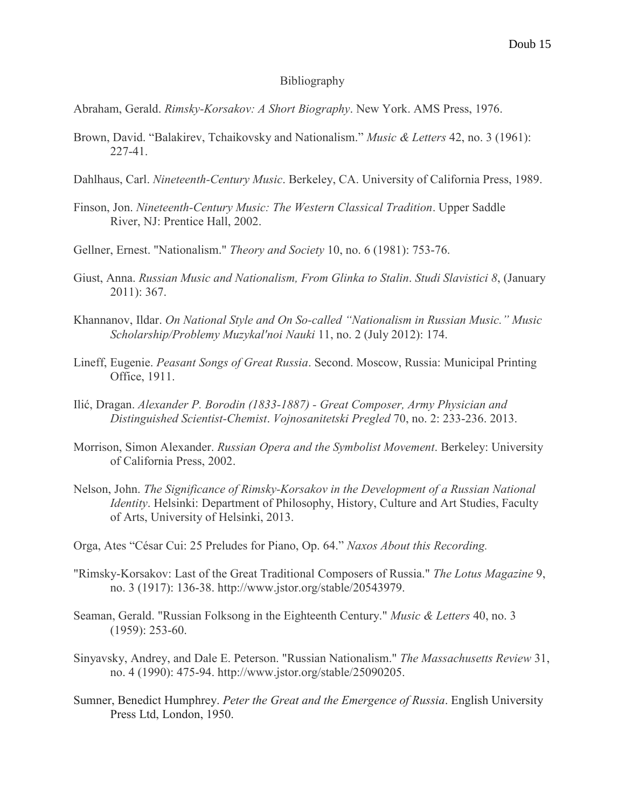## Bibliography

Abraham, Gerald. *Rimsky-Korsakov: A Short Biography*. New York. AMS Press, 1976.

- Brown, David. "Balakirev, Tchaikovsky and Nationalism." *Music & Letters* 42, no. 3 (1961): 227-41.
- Dahlhaus, Carl. *Nineteenth-Century Music*. Berkeley, CA. University of California Press, 1989.
- Finson, Jon. *Nineteenth-Century Music: The Western Classical Tradition*. Upper Saddle River, NJ: Prentice Hall, 2002.
- Gellner, Ernest. "Nationalism." *Theory and Society* 10, no. 6 (1981): 753-76.
- Giust, Anna. *Russian Music and Nationalism, From Glinka to Stalin*. *Studi Slavistici 8*, (January 2011): 367.
- Khannanov, Ildar. *On National Style and On So-called "Nationalism in Russian Music." Music Scholarship/Problemy Muzykal'noi Nauki* 11, no. 2 (July 2012): 174.
- Lineff, Eugenie. *Peasant Songs of Great Russia*. Second. Moscow, Russia: Municipal Printing Office, 1911.
- Ilić, Dragan. *Alexander P. Borodin (1833-1887) - Great Composer, Army Physician and Distinguished Scientist-Chemist*. *Vojnosanitetski Pregled* 70, no. 2: 233-236. 2013.
- Morrison, Simon Alexander. *Russian Opera and the Symbolist Movement*. Berkeley: University of California Press, 2002.
- Nelson, John. *The Significance of Rimsky-Korsakov in the Development of a Russian National Identity*. Helsinki: Department of Philosophy, History, Culture and Art Studies, Faculty of Arts, University of Helsinki, 2013.
- Orga, Ates "César Cui: 25 Preludes for Piano, Op. 64." *Naxos About this Recording.*
- "Rimsky-Korsakov: Last of the Great Traditional Composers of Russia." *The Lotus Magazine* 9, no. 3 (1917): 136-38. http://www.jstor.org/stable/20543979.
- Seaman, Gerald. "Russian Folksong in the Eighteenth Century." *Music & Letters* 40, no. 3 (1959): 253-60.
- Sinyavsky, Andrey, and Dale E. Peterson. "Russian Nationalism." *The Massachusetts Review* 31, no. 4 (1990): 475-94. http://www.jstor.org/stable/25090205.
- Sumner, Benedict Humphrey. *Peter the Great and the Emergence of Russia*. English University Press Ltd, London, 1950.